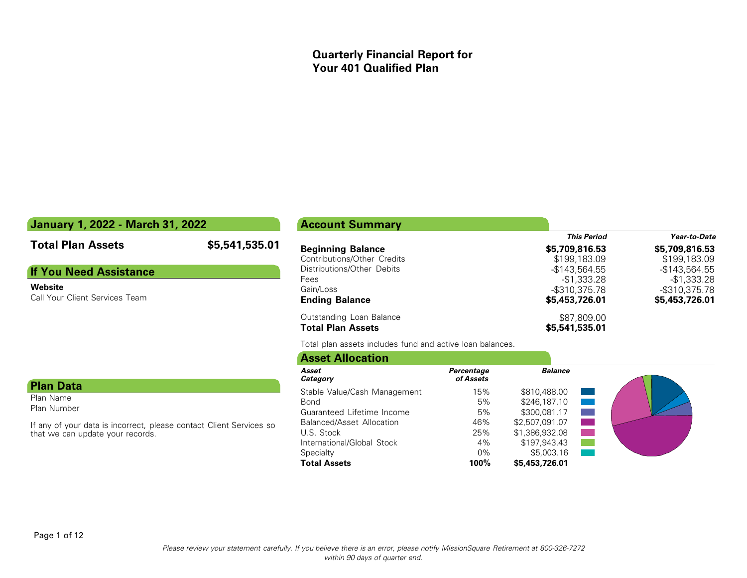## **Quarterly Financial Report for Your 401 Qualified Plan**

## **January 1, 2022 - March 31, 2022**

## **Total Plan Assets \$5,541,535.01**

## **If You Need Assistance**

#### **Website**

Call Your Client Services Team

#### **Plan Data**

Plan Name Plan Number

If any of your data is incorrect, please contact Client Services so that we can update your records.

# **Account Summary**

| \$5,709,816.53 | \$5,709,816.53 |
|----------------|----------------|
| \$199,183.09   | \$199,183.09   |
| $-$143.564.55$ | $-$143.564.55$ |
| -\$1.333.28    | -\$1,333.28    |
| -\$310,375.78  | -\$310,375.78  |
| \$5,453,726.01 | \$5,453,726.01 |
| \$87,809.00    |                |
| \$5,541,535.01 |                |
|                |                |

*This Period Year-to-Date*

Total plan assets includes fund and active loan balances.

| <b>Asset Allocation</b>          |                         |                |                                                                                                                       |
|----------------------------------|-------------------------|----------------|-----------------------------------------------------------------------------------------------------------------------|
| Asset<br>Category                | Percentage<br>of Assets | <b>Balance</b> |                                                                                                                       |
| Stable Value/Cash Management     | 15%                     | \$810,488.00   | <b>Service Service Service Service Service</b>                                                                        |
| Bond                             | 5%                      | \$246,187.10   | <b>Contract Contract Contract Contract Contract Contract Contract Contract Contract Contract Contract Contract Co</b> |
| Guaranteed Lifetime Income       | 5%                      | \$300,081.17   |                                                                                                                       |
| <b>Balanced/Asset Allocation</b> | 46%                     | \$2,507,091.07 | <b>College</b>                                                                                                        |
| U.S. Stock                       | 25%                     | \$1,386,932.08 |                                                                                                                       |
| International/Global Stock       | 4%                      | \$197,943.43   |                                                                                                                       |
| Specialty                        | $0\%$                   | \$5,003.16     |                                                                                                                       |
| <b>Total Assets</b>              | 100%                    | \$5,453,726.01 |                                                                                                                       |